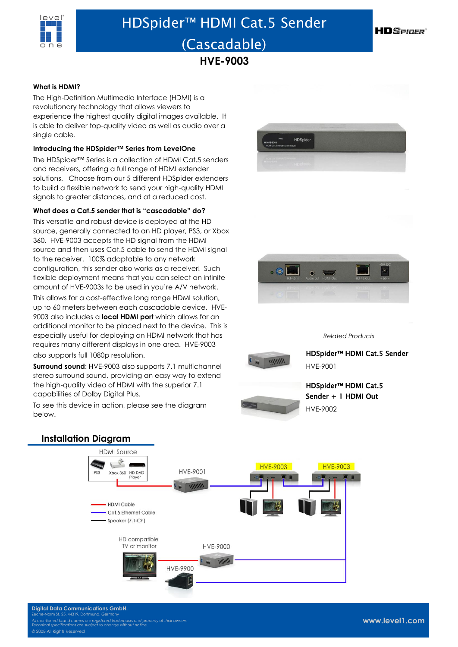

# HDSpider™ HDMI Cat.5 Sender (Cascadable)

**HVE-9003**

#### **What is HDMI?**

The High-Definition Multimedia Interface (HDMI) is a revolutionary technology that allows viewers to experience the highest quality digital images available. It is able to deliver top-quality video as well as audio over a single cable.

### **Introducing the HDSpider™ Series from LevelOne**

The HDSpider™ Series is a collection of HDMI Cat.5 senders and receivers, offering a full range of HDMI extender solutions. Choose from our 5 different HDSpider extenders to build a flexible network to send your high-quality HDMI signals to greater distances, and at a reduced cost.

#### **What does a Cat.5 sender that is "cascadable" do?**

This versatile and robust device is deployed at the HD source, generally connected to an HD player, PS3, or Xbox 360. HVE-9003 accepts the HD signal from the HDMI source and then uses Cat.5 cable to send the HDMI signal to the receiver. 100% adaptable to any network configuration, this sender also works as a receiver! Such flexible deployment means that you can select an infinite amount of HVE-9003s to be used in you're A/V network.

This allows for a cost-effective long range HDMI solution, up to 60 meters between each cascadable device. HVE-9003 also includes a **local HDMI port** which allows for an additional monitor to be placed next to the device. This is especially useful for deploying an HDMI network that has requires many different displays in one area. HVE-9003

also supports full 1080p resolution.

**Surround sound:** HVE-9003 also supports 7.1 multichannel stereo surround sound, providing an easy way to extend the high-quality video of HDMI with the superior 7.1 capabilities of Dolby Digital Plus.

To see this device in action, please see the diagram below.



**HDSPIDER** 



*Related Products*



HDSpider™ HDMI Cat.5 Sender HVE-9001

## HDSpider™ HDMI Cat.5 Sender + 1 HDMI Out HVE-9002

**Installation DiagramHDMI Source**  $\mathcal{L}_{\mathcal{A}}$ **HVE-9003 HVE-9003 HVF-9001** Xbox 360 HD DVD<br>Player HDMLCable Cat 5 Ethernet Cable Speaker (7.1-Ch) HD compatible TV or monitor **HVE-9000** HVE-9900

**Digital Data Communications GmbH.** Zeche-Norm St. 25, 44319, Dortmund, Germany *All mentioned brand names are registered trademarks and property of their owners. Technical specifications are subject to change without notice*. 08 All Rights Reserved